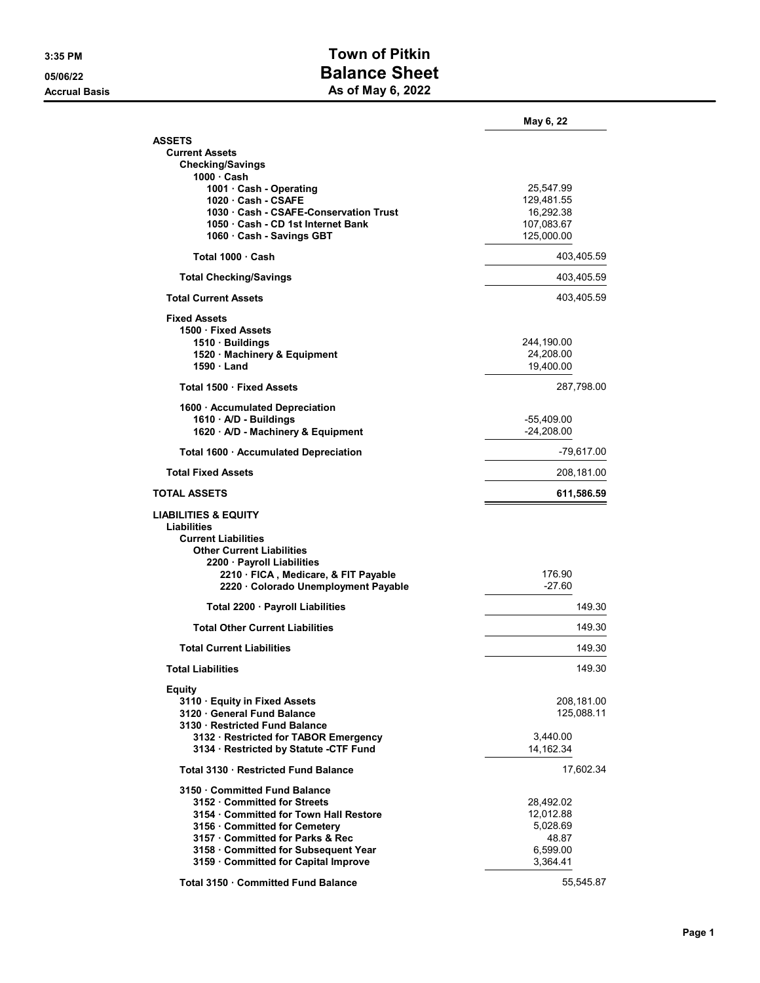## 3:35 PM Town of Pitkin 05/06/22 Balance Sheet Accrual Basis **As of May 6, 2022**

|                                                                                                                  | May 6, 22                  |
|------------------------------------------------------------------------------------------------------------------|----------------------------|
| <b>ASSETS</b>                                                                                                    |                            |
| <b>Current Assets</b><br><b>Checking/Savings</b>                                                                 |                            |
| 1000 · Cash                                                                                                      |                            |
| 1001 · Cash - Operating                                                                                          | 25,547.99                  |
| 1020 Cash - CSAFE                                                                                                | 129,481.55<br>16,292.38    |
| 1030 Cash - CSAFE-Conservation Trust<br>1050 Cash - CD 1st Internet Bank                                         | 107,083.67                 |
| 1060 · Cash - Savings GBT                                                                                        | 125,000.00                 |
| Total 1000 Cash                                                                                                  | 403,405.59                 |
| <b>Total Checking/Savings</b>                                                                                    | 403,405.59                 |
| <b>Total Current Assets</b>                                                                                      | 403,405.59                 |
| <b>Fixed Assets</b>                                                                                              |                            |
| 1500 Fixed Assets                                                                                                |                            |
| 1510 · Buildings                                                                                                 | 244,190.00                 |
| 1520 · Machinery & Equipment                                                                                     | 24,208.00                  |
| 1590 Land                                                                                                        | 19,400.00                  |
| Total 1500 · Fixed Assets                                                                                        | 287,798.00                 |
| 1600 · Accumulated Depreciation                                                                                  |                            |
| 1610 · A/D - Buildings<br>1620 · A/D - Machinery & Equipment                                                     | -55,409.00<br>$-24.208.00$ |
| Total 1600 · Accumulated Depreciation                                                                            | -79,617.00                 |
| <b>Total Fixed Assets</b>                                                                                        | 208,181.00                 |
| <b>TOTAL ASSETS</b>                                                                                              | 611,586.59                 |
| <b>LIABILITIES &amp; EQUITY</b><br>Liabilities<br><b>Current Liabilities</b><br><b>Other Current Liabilities</b> |                            |
| 2200 · Payroll Liabilities                                                                                       |                            |
| 2210 · FICA, Medicare, & FIT Payable<br>2220 · Colorado Unemployment Payable                                     | 176.90<br>$-27.60$         |
| Total 2200 · Payroll Liabilities                                                                                 | 149.30                     |
| <b>Total Other Current Liabilities</b>                                                                           | 149.30                     |
| <b>Total Current Liabilities</b>                                                                                 | 149.30                     |
| Total Liabilities                                                                                                | 149.30                     |
| Equity                                                                                                           |                            |
| 3110 · Equity in Fixed Assets                                                                                    | 208,181.00                 |
| 3120 General Fund Balance                                                                                        | 125,088.11                 |
|                                                                                                                  |                            |
| 3130 Restricted Fund Balance                                                                                     |                            |
| 3132 · Restricted for TABOR Emergency                                                                            | 3,440.00                   |
| 3134 · Restricted by Statute -CTF Fund                                                                           | 14,162.34                  |
| Total 3130 Restricted Fund Balance                                                                               | 17,602.34                  |
| 3150 Committed Fund Balance                                                                                      |                            |
| 3152 Committed for Streets                                                                                       | 28,492.02                  |
| 3154 · Committed for Town Hall Restore                                                                           | 12,012.88                  |
| 3156 Committed for Cemetery                                                                                      | 5,028.69                   |
| 3157 Committed for Parks & Rec                                                                                   | 48.87                      |
| 3158 Committed for Subsequent Year                                                                               | 6,599.00                   |
| 3159 Committed for Capital Improve<br>Total 3150 Committed Fund Balance                                          | 3,364.41<br>55,545.87      |